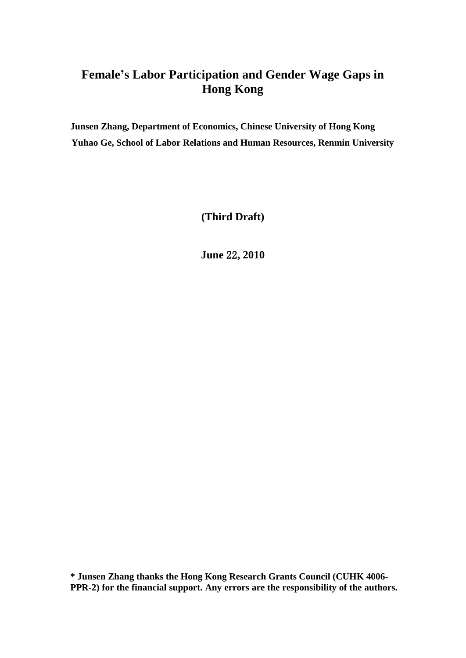# **Female's Labor Participation and Gender Wage Gaps in Hong Kong**

**Junsen Zhang, Department of Economics, Chinese University of Hong Kong Yuhao Ge, School of Labor Relations and Human Resources, Renmin University**

**(Third Draft)**

**June** 22**, 2010**

**\* Junsen Zhang thanks the Hong Kong Research Grants Council (CUHK 4006- PPR-2) for the financial support. Any errors are the responsibility of the authors.**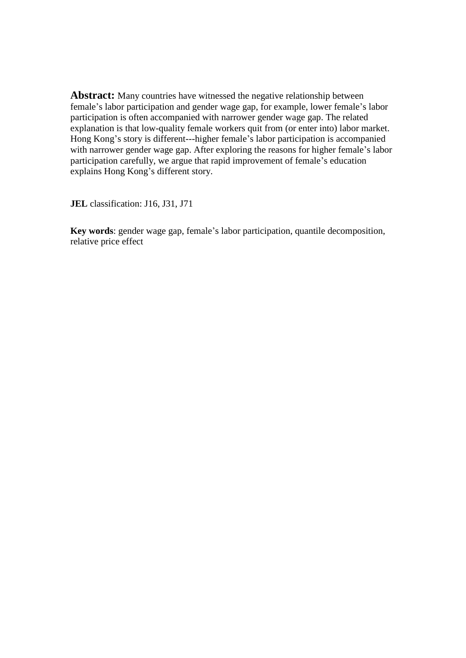Abstract: Many countries have witnessed the negative relationship between female's labor participation and gender wage gap, for example, lower female's labor participation is often accompanied with narrower gender wage gap. The related explanation is that low-quality female workers quit from (or enter into) labor market. Hong Kong's story is different---higher female's labor participation is accompanied with narrower gender wage gap. After exploring the reasons for higher female's labor participation carefully, we argue that rapid improvement of female's education explains Hong Kong's different story.

**JEL** classification: J16, J31, J71

**Key words**: gender wage gap, female's labor participation, quantile decomposition, relative price effect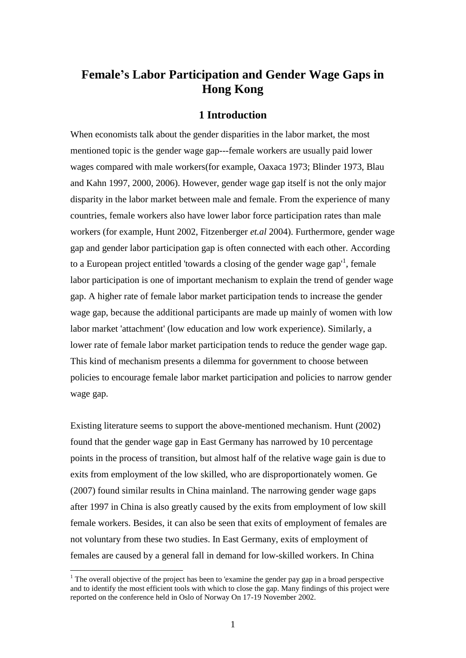## **Female's Labor Participation and Gender Wage Gaps in Hong Kong**

#### **1 Introduction**

When economists talk about the gender disparities in the labor market, the most mentioned topic is the gender wage gap---female workers are usually paid lower wages compared with male workers(for example, Oaxaca 1973; Blinder 1973, Blau and Kahn 1997, 2000, 2006). However, gender wage gap itself is not the only major disparity in the labor market between male and female. From the experience of many countries, female workers also have lower labor force participation rates than male workers (for example, Hunt 2002, Fitzenberger *et.al* 2004). Furthermore, gender wage gap and gender labor participation gap is often connected with each other. According to a European project entitled 'towards a closing of the gender wage gap<sup>1</sup>, female labor participation is one of important mechanism to explain the trend of gender wage gap. A higher rate of female labor market participation tends to increase the gender wage gap, because the additional participants are made up mainly of women with low labor market 'attachment' (low education and low work experience). Similarly, a lower rate of female labor market participation tends to reduce the gender wage gap. This kind of mechanism presents a dilemma for government to choose between policies to encourage female labor market participation and policies to narrow gender wage gap.

Existing literature seems to support the above-mentioned mechanism. Hunt (2002) found that the gender wage gap in East Germany has narrowed by 10 percentage points in the process of transition, but almost half of the relative wage gain is due to exits from employment of the low skilled, who are disproportionately women. Ge (2007) found similar results in China mainland. The narrowing gender wage gaps after 1997 in China is also greatly caused by the exits from employment of low skill female workers. Besides, it can also be seen that exits of employment of females are not voluntary from these two studies. In East Germany, exits of employment of females are caused by a general fall in demand for low-skilled workers. In China

<sup>&</sup>lt;sup>1</sup> The overall objective of the project has been to 'examine the gender pay gap in a broad perspective and to identify the most efficient tools with which to close the gap. Many findings of this project were reported on the conference held in Oslo of Norway On 17-19 November 2002.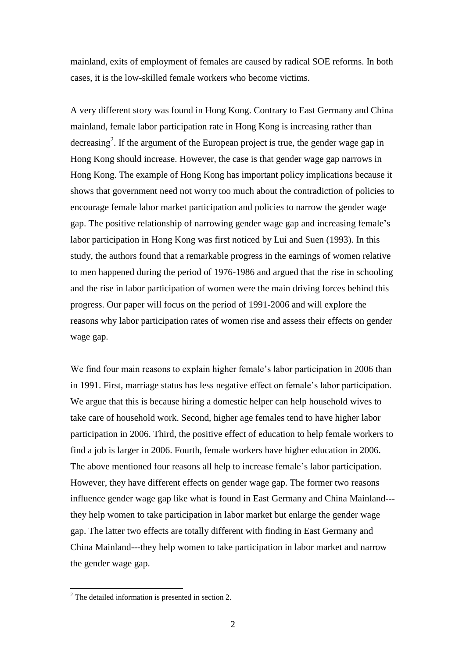mainland, exits of employment of females are caused by radical SOE reforms. In both cases, it is the low-skilled female workers who become victims.

A very different story was found in Hong Kong. Contrary to East Germany and China mainland, female labor participation rate in Hong Kong is increasing rather than decreasing<sup>2</sup>. If the argument of the European project is true, the gender wage gap in Hong Kong should increase. However, the case is that gender wage gap narrows in Hong Kong. The example of Hong Kong has important policy implications because it shows that government need not worry too much about the contradiction of policies to encourage female labor market participation and policies to narrow the gender wage gap. The positive relationship of narrowing gender wage gap and increasing female's labor participation in Hong Kong was first noticed by Lui and Suen (1993). In this study, the authors found that a remarkable progress in the earnings of women relative to men happened during the period of 1976-1986 and argued that the rise in schooling and the rise in labor participation of women were the main driving forces behind this progress. Our paper will focus on the period of 1991-2006 and will explore the reasons why labor participation rates of women rise and assess their effects on gender wage gap.

We find four main reasons to explain higher female's labor participation in 2006 than in 1991. First, marriage status has less negative effect on female's labor participation. We argue that this is because hiring a domestic helper can help household wives to take care of household work. Second, higher age females tend to have higher labor participation in 2006. Third, the positive effect of education to help female workers to find a job is larger in 2006. Fourth, female workers have higher education in 2006. The above mentioned four reasons all help to increase female's labor participation. However, they have different effects on gender wage gap. The former two reasons influence gender wage gap like what is found in East Germany and China Mainland-- they help women to take participation in labor market but enlarge the gender wage gap. The latter two effects are totally different with finding in East Germany and China Mainland---they help women to take participation in labor market and narrow the gender wage gap.

 $2^2$  The detailed information is presented in section 2.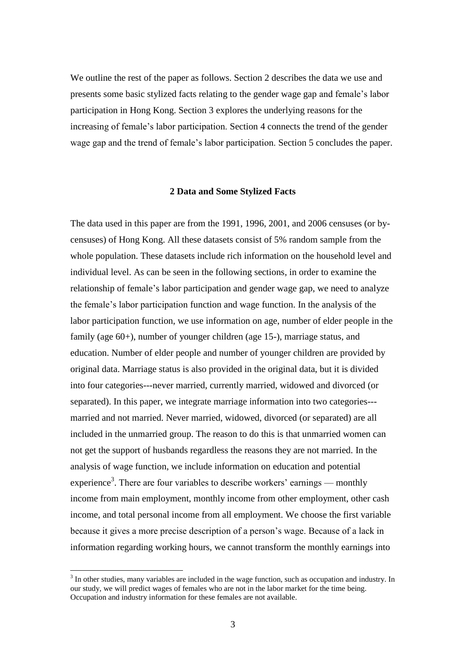We outline the rest of the paper as follows. Section 2 describes the data we use and presents some basic stylized facts relating to the gender wage gap and female's labor participation in Hong Kong. Section 3 explores the underlying reasons for the increasing of female's labor participation. Section 4 connects the trend of the gender wage gap and the trend of female's labor participation. Section 5 concludes the paper.

#### **2 Data and Some Stylized Facts**

The data used in this paper are from the 1991, 1996, 2001, and 2006 censuses (or bycensuses) of Hong Kong. All these datasets consist of 5% random sample from the whole population. These datasets include rich information on the household level and individual level. As can be seen in the following sections, in order to examine the relationship of female's labor participation and gender wage gap, we need to analyze the female's labor participation function and wage function. In the analysis of the labor participation function, we use information on age, number of elder people in the family (age 60+), number of younger children (age 15-), marriage status, and education. Number of elder people and number of younger children are provided by original data. Marriage status is also provided in the original data, but it is divided into four categories---never married, currently married, widowed and divorced (or separated). In this paper, we integrate marriage information into two categories-- married and not married. Never married, widowed, divorced (or separated) are all included in the unmarried group. The reason to do this is that unmarried women can not get the support of husbands regardless the reasons they are not married. In the analysis of wage function, we include information on education and potential experience<sup>3</sup>. There are four variables to describe workers' earnings — monthly income from main employment, monthly income from other employment, other cash income, and total personal income from all employment. We choose the first variable because it gives a more precise description of a person's wage. Because of a lack in information regarding working hours, we cannot transform the monthly earnings into

 $3$  In other studies, many variables are included in the wage function, such as occupation and industry. In our study, we will predict wages of females who are not in the labor market for the time being. Occupation and industry information for these females are not available.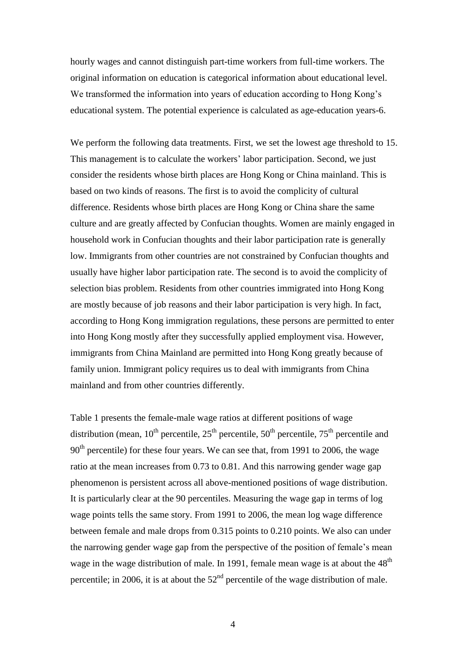hourly wages and cannot distinguish part-time workers from full-time workers. The original information on education is categorical information about educational level. We transformed the information into years of education according to Hong Kong's educational system. The potential experience is calculated as age-education years-6.

We perform the following data treatments. First, we set the lowest age threshold to 15. This management is to calculate the workers' labor participation. Second, we just consider the residents whose birth places are Hong Kong or China mainland. This is based on two kinds of reasons. The first is to avoid the complicity of cultural difference. Residents whose birth places are Hong Kong or China share the same culture and are greatly affected by Confucian thoughts. Women are mainly engaged in household work in Confucian thoughts and their labor participation rate is generally low. Immigrants from other countries are not constrained by Confucian thoughts and usually have higher labor participation rate. The second is to avoid the complicity of selection bias problem. Residents from other countries immigrated into Hong Kong are mostly because of job reasons and their labor participation is very high. In fact, according to Hong Kong immigration regulations, these persons are permitted to enter into Hong Kong mostly after they successfully applied employment visa. However, immigrants from China Mainland are permitted into Hong Kong greatly because of family union. Immigrant policy requires us to deal with immigrants from China mainland and from other countries differently.

Table 1 presents the female-male wage ratios at different positions of wage distribution (mean,  $10^{th}$  percentile,  $25^{th}$  percentile,  $50^{th}$  percentile,  $75^{th}$  percentile and  $90<sup>th</sup>$  percentile) for these four years. We can see that, from 1991 to 2006, the wage ratio at the mean increases from 0.73 to 0.81. And this narrowing gender wage gap phenomenon is persistent across all above-mentioned positions of wage distribution. It is particularly clear at the 90 percentiles. Measuring the wage gap in terms of log wage points tells the same story. From 1991 to 2006, the mean log wage difference between female and male drops from 0.315 points to 0.210 points. We also can under the narrowing gender wage gap from the perspective of the position of female's mean wage in the wage distribution of male. In 1991, female mean wage is at about the  $48<sup>th</sup>$ percentile; in 2006, it is at about the  $52<sup>nd</sup>$  percentile of the wage distribution of male.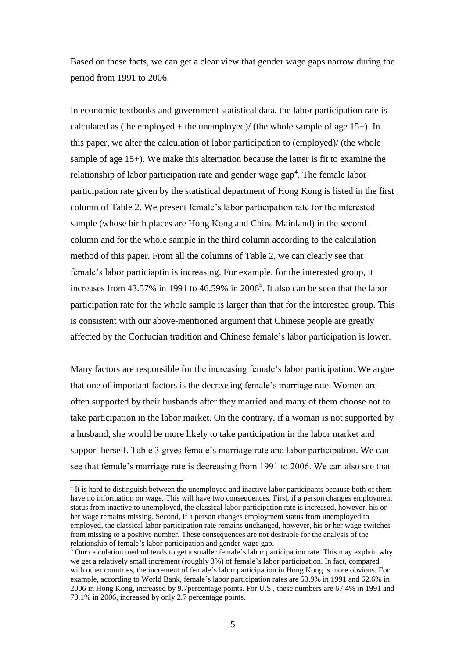Based on these facts, we can get a clear view that gender wage gaps narrow during the period from 1991 to 2006.

In economic textbooks and government statistical data, the labor participation rate is calculated as (the employed + the unemployed)/ (the whole sample of age  $15+$ ). In this paper, we alter the calculation of labor participation to (employed)/ (the whole sample of age 15+). We make this alternation because the latter is fit to examine the relationship of labor participation rate and gender wage  $\text{gap}^4$ . The female labor participation rate given by the statistical department of Hong Kong is listed in the first column of Table 2. We present female's labor participation rate for the interested sample (whose birth places are Hong Kong and China Mainland) in the second column and for the whole sample in the third column according to the calculation method of this paper. From all the columns of Table 2, we can clearly see that female's labor particiaptin is increasing. For example, for the interested group, it increases from  $43.57\%$  in 1991 to  $46.59\%$  in  $2006<sup>5</sup>$ . It also can be seen that the labor participation rate for the whole sample is larger than that for the interested group. This is consistent with our above-mentioned argument that Chinese people are greatly affected by the Confucian tradition and Chinese female's labor participation is lower.

Many factors are responsible for the increasing female's labor participation. We argue that one of important factors is the decreasing female's marriage rate. Women are often supported by their husbands after they married and many of them choose not to take participation in the labor market. On the contrary, if a woman is not supported by a husband, she would be more likely to take participation in the labor market and support herself. Table 3 gives female's marriage rate and labor participation. We can see that female's marriage rate is decreasing from 1991 to 2006. We can also see that

<sup>&</sup>lt;sup>4</sup> It is hard to distinguish between the unemployed and inactive labor participants because both of them have no information on wage. This will have two consequences. First, if a person changes employment status from inactive to unemployed, the classical labor participation rate is increased, however, his or her wage remains missing. Second, if a person changes employment status from unemployed to employed, the classical labor participation rate remains unchanged, however, his or her wage switches from missing to a positive number. These consequences are not desirable for the analysis of the relationship of female's labor participation and gender wage gap.

<sup>&</sup>lt;sup>5</sup> Our calculation method tends to get a smaller female's labor participation rate. This may explain why we get a relatively small increment (roughly 3%) of female's labor participation. In fact, compared with other countries, the increment of female's labor participation in Hong Kong is more obvious. For example, according to World Bank, female's labor participation rates are 53.9% in 1991 and 62.6% in 2006 in Hong Kong, increased by 9.7percentage points. For U.S., these numbers are 67.4% in 1991 and 70.1% in 2006, increased by only 2.7 percentage points.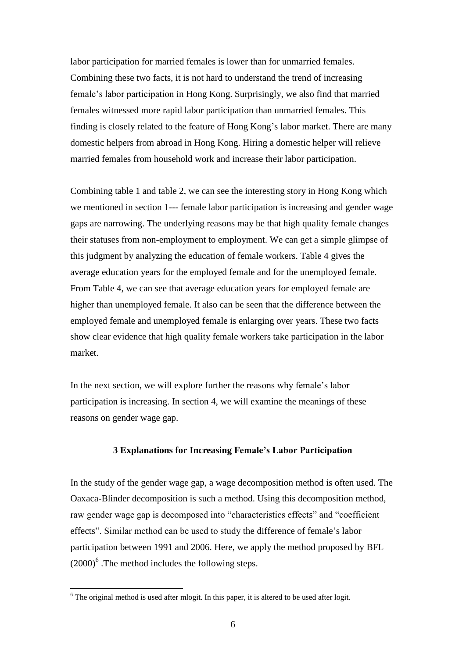labor participation for married females is lower than for unmarried females. Combining these two facts, it is not hard to understand the trend of increasing female's labor participation in Hong Kong. Surprisingly, we also find that married females witnessed more rapid labor participation than unmarried females. This finding is closely related to the feature of Hong Kong's labor market. There are many domestic helpers from abroad in Hong Kong. Hiring a domestic helper will relieve married females from household work and increase their labor participation.

Combining table 1 and table 2, we can see the interesting story in Hong Kong which we mentioned in section 1--- female labor participation is increasing and gender wage gaps are narrowing. The underlying reasons may be that high quality female changes their statuses from non-employment to employment. We can get a simple glimpse of this judgment by analyzing the education of female workers. Table 4 gives the average education years for the employed female and for the unemployed female. From Table 4, we can see that average education years for employed female are higher than unemployed female. It also can be seen that the difference between the employed female and unemployed female is enlarging over years. These two facts show clear evidence that high quality female workers take participation in the labor market.

In the next section, we will explore further the reasons why female's labor participation is increasing. In section 4, we will examine the meanings of these reasons on gender wage gap.

#### **3 Explanations for Increasing Female's Labor Participation**

In the study of the gender wage gap, a wage decomposition method is often used. The Oaxaca-Blinder decomposition is such a method. Using this decomposition method, raw gender wage gap is decomposed into "characteristics effects" and "coefficient effects". Similar method can be used to study the difference of female's labor participation between 1991 and 2006. Here, we apply the method proposed by BFL  $(2000)^6$ . The method includes the following steps.

 $6$  The original method is used after mlogit. In this paper, it is altered to be used after logit.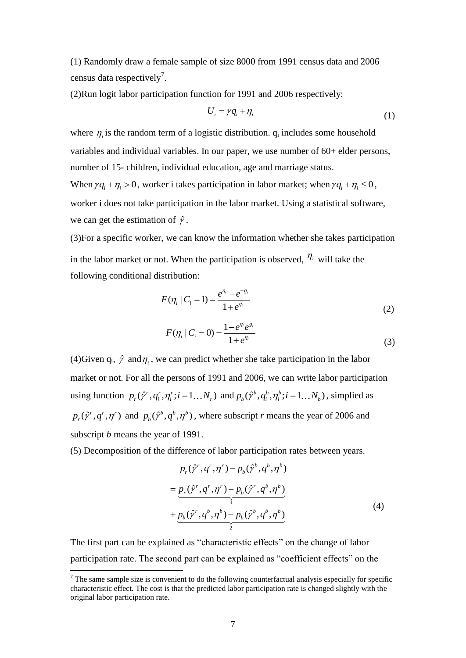(1) Randomly draw a female sample of size 8000 from 1991 census data and 2006 census data respectively<sup>7</sup>.

(2)Run logit labor participation function for 1991 and 2006 respectively:

$$
U_i = \gamma q_i + \eta_i \tag{1}
$$

where  $\eta_i$  is the random term of a logistic distribution.  $q_i$  includes some household variables and individual variables. In our paper, we use number of 60+ elder persons, number of 15- children, individual education, age and marriage status. When  $\gamma q_i + \eta_i > 0$ , worker i takes participation in labor market; when  $\gamma q_i + \eta_i \leq 0$ , worker i does not take participation in the labor market. Using a statistical software, we can get the estimation of  $\hat{\gamma}$ .

(3)For a specific worker, we can know the information whether she takes participation in the labor market or not. When the participation is observed,  $\eta_i$  will take the following conditional distribution:

$$
F(\eta_i \mid C_i = 1) = \frac{e^{\eta_i} - e^{-g_i}}{1 + e^{\eta_i}}
$$
  
\n
$$
F(\eta_i \mid C_i = 0) = \frac{1 - e^{\eta_i} e^{g_i}}{1 + e^{\eta_i}}
$$
\n(2)

(4)Given  $q_i$ ,  $\hat{\gamma}$  and  $\eta_i$ , we can predict whether she take participation in the labor market or not. For all the persons of 1991 and 2006, we can write labor participation using function  $p_r(\hat{\gamma}^r, q_i^r, \eta_i^r; i = 1...N_r)$  and  $p_b(\hat{\gamma}^b, q_i^b, \eta_i^b; i = 1...N_b)$ , simplied as  $p_r(\hat{\gamma}^r, q^r, \eta^r)$  and  $p_b(\hat{\gamma}^b, q^b, \eta^b)$ , where subscript *r* means the year of 2006 and subscript *b* means the year of 1991.

(5) Decomposition of the difference of labor participation rates between years.

$$
p_r(\hat{\gamma}^r, q^r, \eta^r) - p_b(\hat{\gamma}^b, q^b, \eta^b)
$$
  
= 
$$
\underbrace{p_r(\hat{\gamma}^r, q^r, \eta^r) - p_b(\hat{\gamma}^r, q^b, \eta^b)}_{\text{1}}
$$
  
+ 
$$
\underbrace{p_b(\hat{\gamma}^r, q^b, \eta^b) - p_b(\hat{\gamma}^b, q^b, \eta^b)}_{\text{2}}
$$
 (4)

The first part can be explained as "characteristic effects" on the change of labor participation rate. The second part can be explained as "coefficient effects" on the

 $<sup>7</sup>$  The same sample size is convenient to do the following counterfactual analysis especially for specific</sup> characteristic effect. The cost is that the predicted labor participation rate is changed slightly with the original labor participation rate.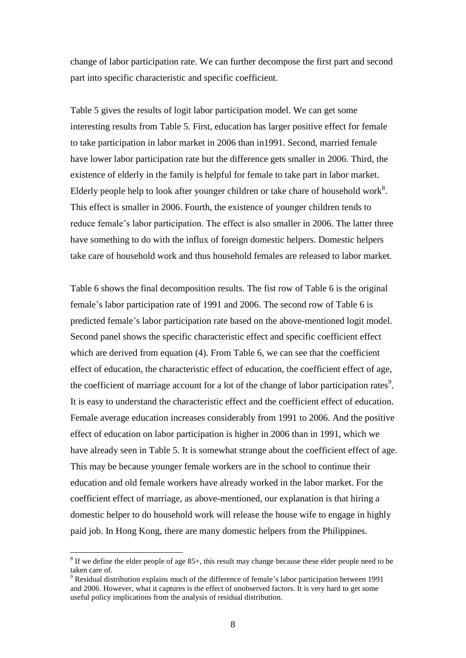change of labor participation rate. We can further decompose the first part and second part into specific characteristic and specific coefficient.

Table 5 gives the results of logit labor participation model. We can get some interesting results from Table 5. First, education has larger positive effect for female to take participation in labor market in 2006 than in1991. Second, married female have lower labor participation rate but the difference gets smaller in 2006. Third, the existence of elderly in the family is helpful for female to take part in labor market. Elderly people help to look after younger children or take chare of household work<sup>8</sup>. This effect is smaller in 2006. Fourth, the existence of younger children tends to reduce female's labor participation. The effect is also smaller in 2006. The latter three have something to do with the influx of foreign domestic helpers. Domestic helpers take care of household work and thus household females are released to labor market.

Table 6 shows the final decomposition results. The fist row of Table 6 is the original female's labor participation rate of 1991 and 2006. The second row of Table 6 is predicted female's labor participation rate based on the above-mentioned logit model. Second panel shows the specific characteristic effect and specific coefficient effect which are derived from equation (4). From Table 6, we can see that the coefficient effect of education, the characteristic effect of education, the coefficient effect of age, the coefficient of marriage account for a lot of the change of labor participation rates<sup>9</sup>. It is easy to understand the characteristic effect and the coefficient effect of education. Female average education increases considerably from 1991 to 2006. And the positive effect of education on labor participation is higher in 2006 than in 1991, which we have already seen in Table 5. It is somewhat strange about the coefficient effect of age. This may be because younger female workers are in the school to continue their education and old female workers have already worked in the labor market. For the coefficient effect of marriage, as above-mentioned, our explanation is that hiring a domestic helper to do household work will release the house wife to engage in highly paid job. In Hong Kong, there are many domestic helpers from the Philippines.

<u>.</u>

 $8$  If we define the elder people of age 85+, this result may change because these elder people need to be taken care of.

<sup>&</sup>lt;sup>9</sup> Residual distribution explains much of the difference of female's labor participation between 1991 and 2006. However, what it captures is the effect of unobserved factors. It is very hard to get some useful policy implications from the analysis of residual distribution.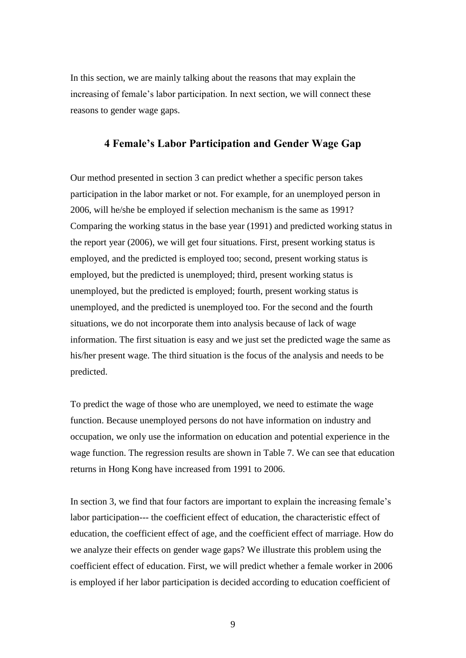In this section, we are mainly talking about the reasons that may explain the increasing of female's labor participation. In next section, we will connect these reasons to gender wage gaps.

## **4 Female's Labor Participation and Gender Wage Gap**

Our method presented in section 3 can predict whether a specific person takes participation in the labor market or not. For example, for an unemployed person in 2006, will he/she be employed if selection mechanism is the same as 1991? Comparing the working status in the base year (1991) and predicted working status in the report year (2006), we will get four situations. First, present working status is employed, and the predicted is employed too; second, present working status is employed, but the predicted is unemployed; third, present working status is unemployed, but the predicted is employed; fourth, present working status is unemployed, and the predicted is unemployed too. For the second and the fourth situations, we do not incorporate them into analysis because of lack of wage information. The first situation is easy and we just set the predicted wage the same as his/her present wage. The third situation is the focus of the analysis and needs to be predicted.

To predict the wage of those who are unemployed, we need to estimate the wage function. Because unemployed persons do not have information on industry and occupation, we only use the information on education and potential experience in the wage function. The regression results are shown in Table 7. We can see that education returns in Hong Kong have increased from 1991 to 2006.

In section 3, we find that four factors are important to explain the increasing female's labor participation--- the coefficient effect of education, the characteristic effect of education, the coefficient effect of age, and the coefficient effect of marriage. How do we analyze their effects on gender wage gaps? We illustrate this problem using the coefficient effect of education. First, we will predict whether a female worker in 2006 is employed if her labor participation is decided according to education coefficient of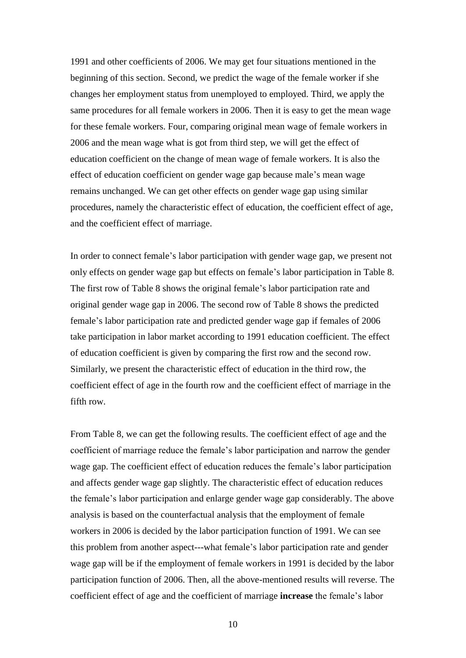1991 and other coefficients of 2006. We may get four situations mentioned in the beginning of this section. Second, we predict the wage of the female worker if she changes her employment status from unemployed to employed. Third, we apply the same procedures for all female workers in 2006. Then it is easy to get the mean wage for these female workers. Four, comparing original mean wage of female workers in 2006 and the mean wage what is got from third step, we will get the effect of education coefficient on the change of mean wage of female workers. It is also the effect of education coefficient on gender wage gap because male's mean wage remains unchanged. We can get other effects on gender wage gap using similar procedures, namely the characteristic effect of education, the coefficient effect of age, and the coefficient effect of marriage.

In order to connect female's labor participation with gender wage gap, we present not only effects on gender wage gap but effects on female's labor participation in Table 8. The first row of Table 8 shows the original female's labor participation rate and original gender wage gap in 2006. The second row of Table 8 shows the predicted female's labor participation rate and predicted gender wage gap if females of 2006 take participation in labor market according to 1991 education coefficient. The effect of education coefficient is given by comparing the first row and the second row. Similarly, we present the characteristic effect of education in the third row, the coefficient effect of age in the fourth row and the coefficient effect of marriage in the fifth row.

From Table 8, we can get the following results. The coefficient effect of age and the coefficient of marriage reduce the female's labor participation and narrow the gender wage gap. The coefficient effect of education reduces the female's labor participation and affects gender wage gap slightly. The characteristic effect of education reduces the female's labor participation and enlarge gender wage gap considerably. The above analysis is based on the counterfactual analysis that the employment of female workers in 2006 is decided by the labor participation function of 1991. We can see this problem from another aspect---what female's labor participation rate and gender wage gap will be if the employment of female workers in 1991 is decided by the labor participation function of 2006. Then, all the above-mentioned results will reverse. The coefficient effect of age and the coefficient of marriage **increase** the female's labor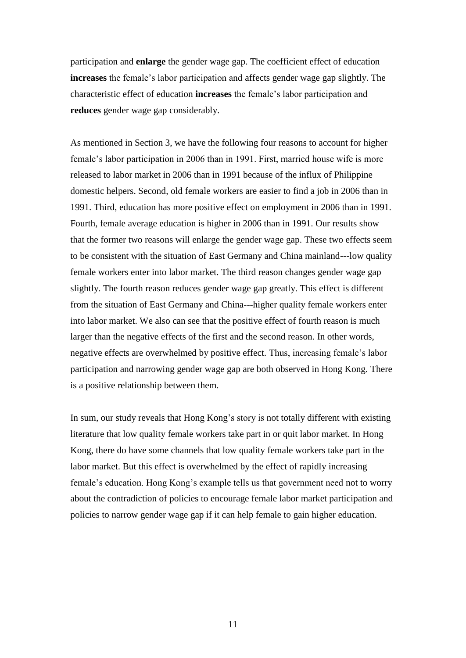participation and **enlarge** the gender wage gap. The coefficient effect of education **increases** the female's labor participation and affects gender wage gap slightly. The characteristic effect of education **increases** the female's labor participation and **reduces** gender wage gap considerably.

As mentioned in Section 3, we have the following four reasons to account for higher female's labor participation in 2006 than in 1991. First, married house wife is more released to labor market in 2006 than in 1991 because of the influx of Philippine domestic helpers. Second, old female workers are easier to find a job in 2006 than in 1991. Third, education has more positive effect on employment in 2006 than in 1991. Fourth, female average education is higher in 2006 than in 1991. Our results show that the former two reasons will enlarge the gender wage gap. These two effects seem to be consistent with the situation of East Germany and China mainland---low quality female workers enter into labor market. The third reason changes gender wage gap slightly. The fourth reason reduces gender wage gap greatly. This effect is different from the situation of East Germany and China---higher quality female workers enter into labor market. We also can see that the positive effect of fourth reason is much larger than the negative effects of the first and the second reason. In other words, negative effects are overwhelmed by positive effect. Thus, increasing female's labor participation and narrowing gender wage gap are both observed in Hong Kong. There is a positive relationship between them.

In sum, our study reveals that Hong Kong's story is not totally different with existing literature that low quality female workers take part in or quit labor market. In Hong Kong, there do have some channels that low quality female workers take part in the labor market. But this effect is overwhelmed by the effect of rapidly increasing female's education. Hong Kong's example tells us that government need not to worry about the contradiction of policies to encourage female labor market participation and policies to narrow gender wage gap if it can help female to gain higher education.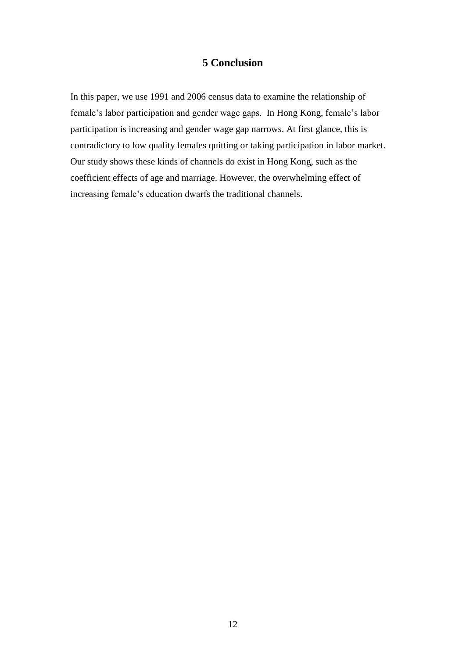## **5 Conclusion**

In this paper, we use 1991 and 2006 census data to examine the relationship of female's labor participation and gender wage gaps. In Hong Kong, female's labor participation is increasing and gender wage gap narrows. At first glance, this is contradictory to low quality females quitting or taking participation in labor market. Our study shows these kinds of channels do exist in Hong Kong, such as the coefficient effects of age and marriage. However, the overwhelming effect of increasing female's education dwarfs the traditional channels.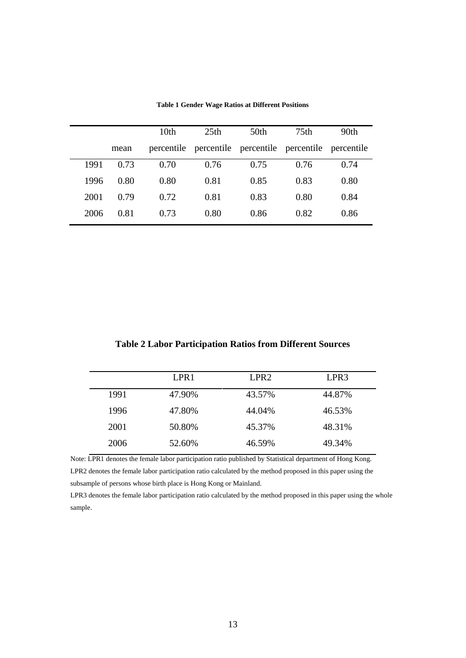|      |      | 10 <sub>th</sub> | 25 <sub>th</sub> | 50th                                                   | 75 <sub>th</sub> | 90th |
|------|------|------------------|------------------|--------------------------------------------------------|------------------|------|
|      | mean |                  |                  | percentile percentile percentile percentile percentile |                  |      |
| 1991 | 0.73 | 0.70             | 0.76             | 0.75                                                   | 0.76             | 0.74 |
| 1996 | 0.80 | 0.80             | 0.81             | 0.85                                                   | 0.83             | 0.80 |
| 2001 | 0.79 | 0.72             | 0.81             | 0.83                                                   | 0.80             | 0.84 |
| 2006 | 0.81 | 0.73             | 0.80             | 0.86                                                   | 0.82             | 0.86 |

**Table 1 Gender Wage Ratios at Different Positions**

|  |  |  |  |  |  | <b>Table 2 Labor Participation Ratios from Different Sources</b> |  |  |  |  |  |
|--|--|--|--|--|--|------------------------------------------------------------------|--|--|--|--|--|
|  |  |  |  |  |  |                                                                  |  |  |  |  |  |

|      | LPR <sub>1</sub> | LPR <sub>2</sub> | LPR3   |
|------|------------------|------------------|--------|
| 1991 | 47.90%           | 43.57%           | 44.87% |
| 1996 | 47.80%           | 44.04%           | 46.53% |
| 2001 | 50.80%           | 45.37%           | 48.31% |
| 2006 | 52.60%           | 46.59%           | 49.34% |
|      |                  |                  |        |

Note: LPR1 denotes the female labor participation ratio published by Statistical department of Hong Kong. LPR2 denotes the female labor participation ratio calculated by the method proposed in this paper using the subsample of persons whose birth place is Hong Kong or Mainland.

LPR3 denotes the female labor participation ratio calculated by the method proposed in this paper using the whole sample.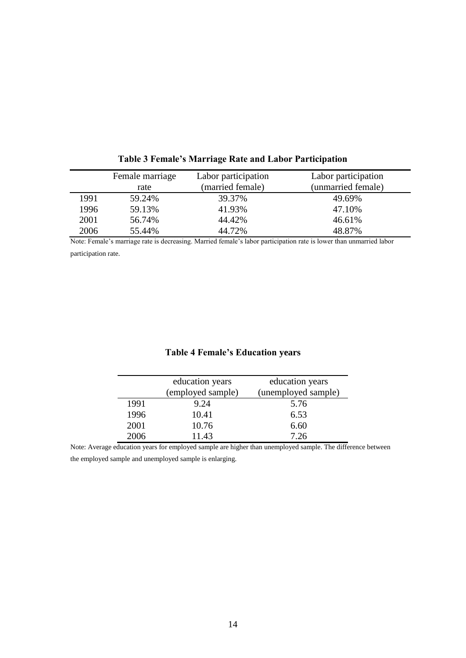|      | Female marriage<br>rate | Labor participation<br>(married female) | Labor participation<br>(unmarried female) |
|------|-------------------------|-----------------------------------------|-------------------------------------------|
| 1991 | 59.24%                  | 39.37%                                  | 49.69%                                    |
| 1996 | 59.13%                  | 41.93%                                  | 47.10%                                    |
| 2001 | 56.74%                  | 44.42%                                  | 46.61%                                    |
| 2006 | 55.44%                  | 44.72%                                  | 48.87%                                    |

**Table 3 Female's Marriage Rate and Labor Participation**

Note: Female's marriage rate is decreasing. Married female's labor participation rate is lower than unmarried labor participation rate.

## **Table 4 Female's Education years**

|      | education years<br>(employed sample) | education years<br>(unemployed sample) |
|------|--------------------------------------|----------------------------------------|
| 1991 | 9.24                                 | 5.76                                   |
| 1996 | 10.41                                | 6.53                                   |
| 2001 | 10.76                                | 6.60                                   |
| 2006 | 11.43                                | 7.26                                   |

Note: Average education years for employed sample are higher than unemployed sample. The difference between the employed sample and unemployed sample is enlarging.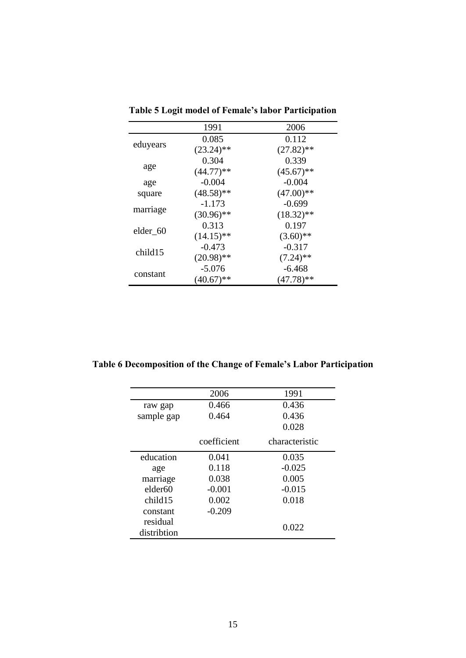|          | 1991         | 2006         |
|----------|--------------|--------------|
|          | 0.085        | 0.112        |
| eduyears | $(23.24)$ ** | $(27.82)$ ** |
|          | 0.304        | 0.339        |
| age      | $(44.77)**$  | $(45.67)$ ** |
| age      | $-0.004$     | $-0.004$     |
| square   | $(48.58)$ ** | $(47.00)$ ** |
| marriage | $-1.173$     | $-0.699$     |
|          | $(30.96)$ ** | $(18.32)$ ** |
| elder_60 | 0.313        | 0.197        |
|          | $(14.15)$ ** | $(3.60)$ **  |
| child15  | $-0.473$     | $-0.317$     |
|          | $(20.98)$ ** | $(7.24)$ **  |
| constant | $-5.076$     | $-6.468$     |
|          | $(40.67)$ ** | $(47.78)$ ** |

**Table 5 Logit model of Female's labor Participation**

**Table 6 Decomposition of the Change of Female's Labor Participation**

|                         | 2006        | 1991           |
|-------------------------|-------------|----------------|
| raw gap                 | 0.466       | 0.436          |
| sample gap              | 0.464       | 0.436          |
|                         |             | 0.028          |
|                         | coefficient | characteristic |
| education               | 0.041       | 0.035          |
| age                     | 0.118       | $-0.025$       |
| marriage                | 0.038       | 0.005          |
| elder <sub>60</sub>     | $-0.001$    | $-0.015$       |
| child15                 | 0.002       | 0.018          |
| constant                | $-0.209$    |                |
| residual<br>distribtion |             | 0.022          |
|                         |             |                |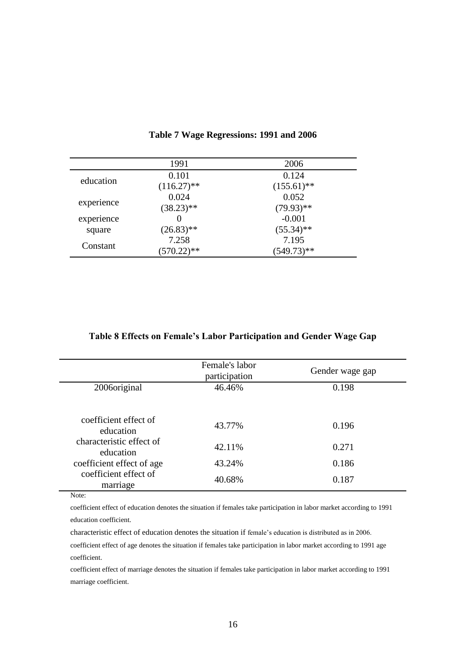|            | 1991          | 2006          |
|------------|---------------|---------------|
| education  | 0.101         | 0.124         |
|            | $(116.27)$ ** | $(155.61)$ ** |
|            | 0.024         | 0.052         |
| experience | $(38.23)**$   | $(79.93)$ **  |
| experience |               | $-0.001$      |
| square     | $(26.83)$ **  | $(55.34)$ **  |
| Constant   | 7.258         | 7.195         |
|            | $(570.22)$ ** | $(549.73)**$  |

## **Table 7 Wage Regressions: 1991 and 2006**

## **Table 8 Effects on Female's Labor Participation and Gender Wage Gap**

|                                       | Female's labor<br>participation | Gender wage gap |
|---------------------------------------|---------------------------------|-----------------|
| 2006 original                         | 46.46%                          | 0.198           |
| coefficient effect of<br>education    | 43.77%                          | 0.196           |
| characteristic effect of<br>education | 42.11%                          | 0.271           |
| coefficient effect of age             | 43.24%                          | 0.186           |
| coefficient effect of<br>marriage     | 40.68%                          | 0.187           |

Note:

coefficient effect of education denotes the situation if females take participation in labor market according to 1991 education coefficient.

characteristic effect of education denotes the situation if female's education is distributed as in 2006.

coefficient effect of age denotes the situation if females take participation in labor market according to 1991 age coefficient.

coefficient effect of marriage denotes the situation if females take participation in labor market according to 1991 marriage coefficient.